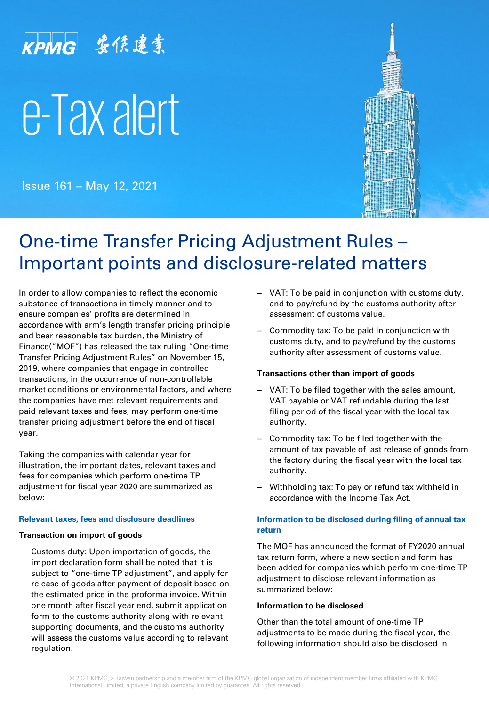# KPMG 安侯建業 e-Tax alert

Issue 161 – May 12, 2021



## One-time Transfer Pricing Adjustment Rules – Important points and disclosure-related matters

In order to allow companies to reflect the economic substance of transactions in timely manner and to ensure companies' profits are determined in accordance with arm's length transfer pricing principle and bear reasonable tax burden, the Ministry of Finance("MOF") has released the tax ruling "One-time Transfer Pricing Adjustment Rules" on November 15, 2019, where companies that engage in controlled transactions, in the occurrence of non-controllable market conditions or environmental factors, and where the companies have met relevant requirements and paid relevant taxes and fees, may perform one-time transfer pricing adjustment before the end of fiscal year.

Taking the companies with calendar year for illustration, the important dates, relevant taxes and fees for companies which perform one-time TP adjustment for fiscal year 2020 are summarized as below:

#### **Relevant taxes, fees and disclosure deadlines**

#### **Transaction on import of goods**

Customs duty: Upon importation of goods, the import declaration form shall be noted that it is subject to "one-time TP adjustment", and apply for release of goods after payment of deposit based on the estimated price in the proforma invoice. Within one month after fiscal year end, submit application form to the customs authority along with relevant supporting documents, and the customs authority will assess the customs value according to relevant regulation.

- ‒ VAT: To be paid in conjunction with customs duty, and to pay/refund by the customs authority after assessment of customs value.
- ‒ Commodity tax: To be paid in conjunction with customs duty, and to pay/refund by the customs authority after assessment of customs value.

#### **Transactions other than import of goods**

- ‒ VAT: To be filed together with the sales amount, VAT payable or VAT refundable during the last filing period of the fiscal year with the local tax authority.
- ‒ Commodity tax: To be filed together with the amount of tax payable of last release of goods from the factory during the fiscal year with the local tax authority.
- ‒ Withholding tax: To pay or refund tax withheld in accordance with the Income Tax Act.

#### **Information to be disclosed during filing of annual tax return**

The MOF has announced the format of FY2020 annual tax return form, where a new section and form has been added for companies which perform one-time TP adjustment to disclose relevant information as summarized below:

#### **Information to be disclosed**

Other than the total amount of one-time TP adjustments to be made during the fiscal year, the following information should also be disclosed in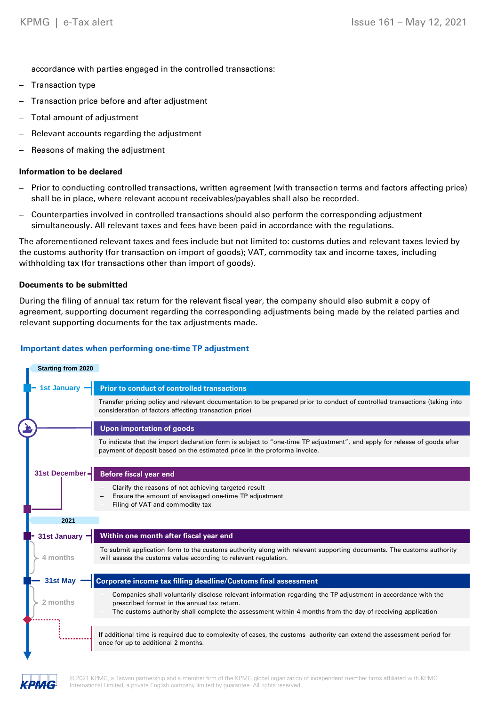accordance with parties engaged in the controlled transactions:

- ‒ Transaction type
- ‒ Transaction price before and after adjustment
- ‒ Total amount of adjustment
- Relevant accounts regarding the adjustment
- ‒ Reasons of making the adjustment

#### **Information to be declared**

- ‒ Prior to conducting controlled transactions, written agreement (with transaction terms and factors affecting price) shall be in place, where relevant account receivables/payables shall also be recorded.
- ‒ Counterparties involved in controlled transactions should also perform the corresponding adjustment simultaneously. All relevant taxes and fees have been paid in accordance with the regulations.

The aforementioned relevant taxes and fees include but not limited to: customs duties and relevant taxes levied by the customs authority (for transaction on import of goods); VAT, commodity tax and income taxes, including withholding tax (for transactions other than import of goods).

#### **Documents to be submitted**

During the filing of annual tax return for the relevant fiscal year, the company should also submit a copy of agreement, supporting document regarding the corresponding adjustments being made by the related parties and relevant supporting documents for the tax adjustments made.

#### **Important dates when performing one-time TP adjustment**



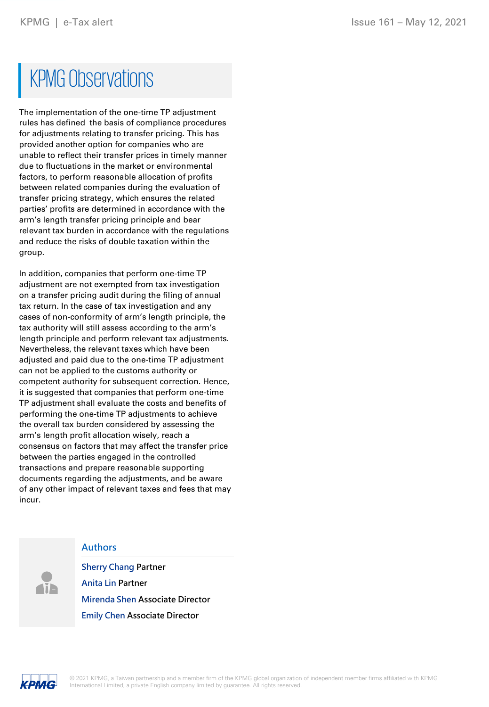# **KPMG Observations**

The implementation of the one-time TP adjustment rules has defined the basis of compliance procedures for adjustments relating to transfer pricing. This has provided another option for companies who are unable to reflect their transfer prices in timely manner due to fluctuations in the market or environmental factors, to perform reasonable allocation of profits between related companies during the evaluation of transfer pricing strategy, which ensures the related parties' profits are determined in accordance with the arm's length transfer pricing principle and bear relevant tax burden in accordance with the regulations and reduce the risks of double taxation within the group.

In addition, companies that perform one-time TP adjustment are not exempted from tax investigation on a transfer pricing audit during the filing of annual tax return. In the case of tax investigation and any cases of non-conformity of arm's length principle, the tax authority will still assess according to the arm's length principle and perform relevant tax adjustments. Nevertheless, the relevant taxes which have been adjusted and paid due to the one-time TP adjustment can not be applied to the customs authority or competent authority for subsequent correction. Hence, it is suggested that companies that perform one-time TP adjustment shall evaluate the costs and benefits of performing the one-time TP adjustments to achieve the overall tax burden considered by assessing the arm's length profit allocation wisely, reach a consensus on factors that may affect the transfer price between the parties engaged in the controlled transactions and prepare reasonable supporting documents regarding the adjustments, and be aware of any other impact of relevant taxes and fees that may incur.

#### **Authors**

**Sherry Chang Partner Anita Lin Partner Mirenda Shen Associate Director Emily Chen Associate Director**